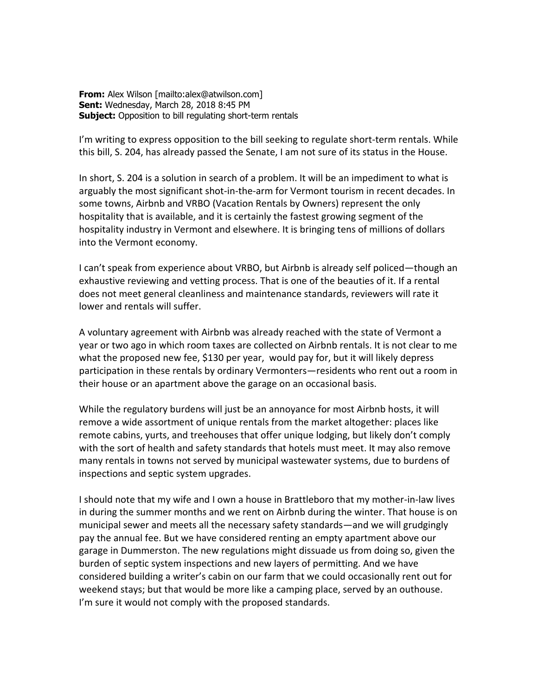**From:** Alex Wilson [mailto:alex@atwilson.com] **Sent:** Wednesday, March 28, 2018 8:45 PM **Subject:** Opposition to bill regulating short-term rentals

I'm writing to express opposition to the bill seeking to regulate short-term rentals. While this bill, S. 204, has already passed the Senate, I am not sure of its status in the House.

In short, S. 204 is a solution in search of a problem. It will be an impediment to what is arguably the most significant shot-in-the-arm for Vermont tourism in recent decades. In some towns, Airbnb and VRBO (Vacation Rentals by Owners) represent the only hospitality that is available, and it is certainly the fastest growing segment of the hospitality industry in Vermont and elsewhere. It is bringing tens of millions of dollars into the Vermont economy.

I can't speak from experience about VRBO, but Airbnb is already self policed—though an exhaustive reviewing and vetting process. That is one of the beauties of it. If a rental does not meet general cleanliness and maintenance standards, reviewers will rate it lower and rentals will suffer.

A voluntary agreement with Airbnb was already reached with the state of Vermont a year or two ago in which room taxes are collected on Airbnb rentals. It is not clear to me what the proposed new fee, \$130 per year, would pay for, but it will likely depress participation in these rentals by ordinary Vermonters—residents who rent out a room in their house or an apartment above the garage on an occasional basis.

While the regulatory burdens will just be an annoyance for most Airbnb hosts, it will remove a wide assortment of unique rentals from the market altogether: places like remote cabins, yurts, and treehouses that offer unique lodging, but likely don't comply with the sort of health and safety standards that hotels must meet. It may also remove many rentals in towns not served by municipal wastewater systems, due to burdens of inspections and septic system upgrades.

I should note that my wife and I own a house in Brattleboro that my mother-in-law lives in during the summer months and we rent on Airbnb during the winter. That house is on municipal sewer and meets all the necessary safety standards—and we will grudgingly pay the annual fee. But we have considered renting an empty apartment above our garage in Dummerston. The new regulations might dissuade us from doing so, given the burden of septic system inspections and new layers of permitting. And we have considered building a writer's cabin on our farm that we could occasionally rent out for weekend stays; but that would be more like a camping place, served by an outhouse. I'm sure it would not comply with the proposed standards.